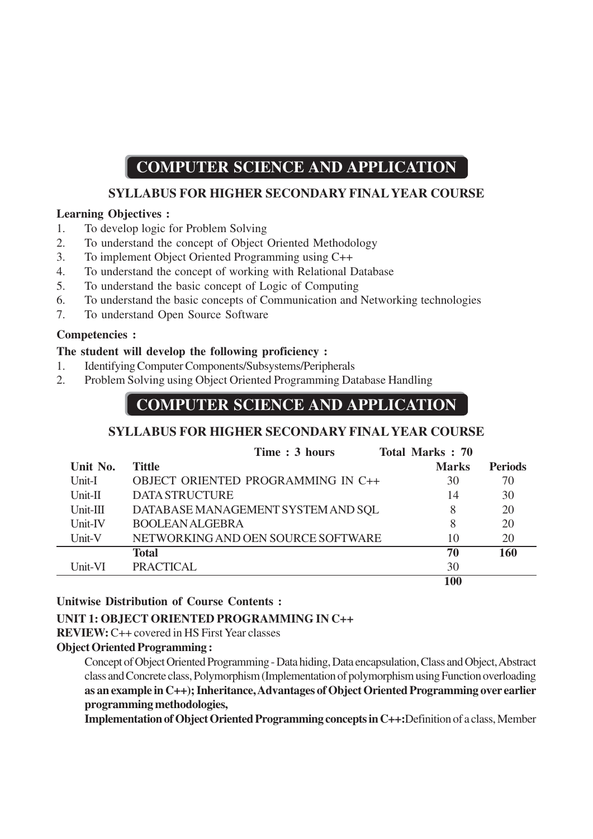# **COMPUTER SCIENCE AND APPLICATION**

# **SYLLABUS FOR HIGHER SECONDARY FINAL YEAR COURSE**

# **Learning Objectives :**

- 1. To develop logic for Problem Solving
- 2. To understand the concept of Object Oriented Methodology
- 3. To implement Object Oriented Programming using C++
- 4. To understand the concept of working with Relational Database
- 5. To understand the basic concept of Logic of Computing
- 6. To understand the basic concepts of Communication and Networking technologies
- 7. To understand Open Source Software

# **Competencies :**

# **The student will develop the following proficiency :**

- 1. Identifying Computer Components/Subsystems/Peripherals
- 2. Problem Solving using Object Oriented Programming Database Handling

# **COMPUTER SCIENCE AND APPLICATION**

# **SYLLABUS FOR HIGHER SECONDARY FINAL YEAR COURSE**

|            | Time: 3 hours                      | <b>Total Marks: 70</b> |                |
|------------|------------------------------------|------------------------|----------------|
| Unit No.   | <b>Tittle</b>                      | <b>Marks</b>           | <b>Periods</b> |
| Unit-I     | OBJECT ORIENTED PROGRAMMING IN C++ | 30                     | 70             |
| $Unit-II$  | <b>DATA STRUCTURE</b>              | 14                     | 30             |
| $Unit-III$ | DATABASE MANAGEMENT SYSTEM AND SQL | 8                      | 20             |
| Unit-IV    | <b>BOOLEAN ALGEBRA</b>             | 8                      | 20             |
| Unit-V     | NETWORKING AND OEN SOURCE SOFTWARE | 10                     | 20             |
|            | <b>Total</b>                       | 70                     | 160            |
| Unit-VI    | <b>PRACTICAL</b>                   | 30                     |                |
|            |                                    | 100                    |                |

# **Unitwise Distribution of Course Contents :**

# **UNIT 1: OBJECT ORIENTED PROGRAMMING IN C++**

**REVIEW:** C++ covered in HS First Year classes

#### **Object Oriented Programming :**

Concept of Object Oriented Programming - Data hiding, Data encapsulation, Class and Object, Abstract class and Concrete class, Polymorphism (Implementation of polymorphism using Function overloading **as an example in C++); Inheritance, Advantages of Object Oriented Programming over earlier programming methodologies,**

**Implementation of Object Oriented Programming concepts in C++:**Definition of a class, Member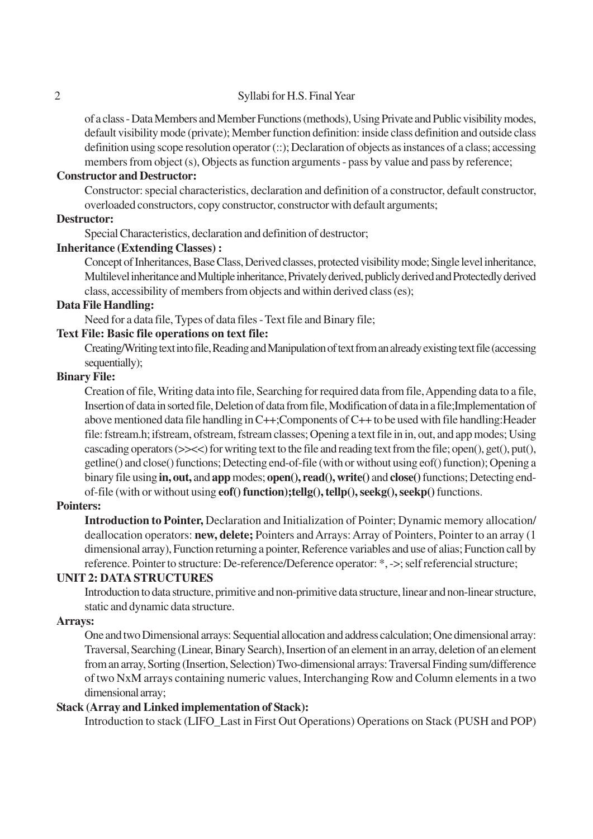#### 2 Syllabi for H.S. Final Year

of a class - Data Members and Member Functions (methods), Using Private and Public visibility modes, default visibility mode (private); Member function definition: inside class definition and outside class definition using scope resolution operator (::); Declaration of objects as instances of a class; accessing members from object (s), Objects as function arguments - pass by value and pass by reference;

#### **Constructor and Destructor:**

Constructor: special characteristics, declaration and definition of a constructor, default constructor, overloaded constructors, copy constructor, constructor with default arguments;

#### **Destructor:**

Special Characteristics, declaration and definition of destructor;

#### **Inheritance (Extending Classes) :**

Concept of Inheritances, Base Class, Derived classes, protected visibility mode; Single level inheritance, Multilevel inheritance and Multiple inheritance, Privately derived, publicly derived and Protectedly derived class, accessibility of members from objects and within derived class (es);

#### **Data File Handling:**

Need for a data file, Types of data files - Text file and Binary file;

#### **Text File: Basic file operations on text file:**

Creating/Writing text into file, Reading and Manipulation of text from an already existing text file (accessing sequentially);

#### **Binary File:**

Creation of file, Writing data into file, Searching for required data from file, Appending data to a file, Insertion of data in sorted file, Deletion of data from file, Modification of data in a file;Implementation of above mentioned data file handling in C++;Components of C++ to be used with file handling:Header file: fstream.h; ifstream, ofstream, fstream classes; Opening a text file in in, out, and app modes; Using cascading operators (>><<) for writing text to the file and reading text from the file; open(), get(), put(), getline() and close() functions; Detecting end-of-file (with or without using eof() function); Opening a binary file using **in, out,** and **app** modes; **open(), read(), write()** and **close()** functions; Detecting endof-file (with or without using **eof() function);tellg(), tellp(), seekg(), seekp()** functions.

#### **Pointers:**

**Introduction to Pointer,** Declaration and Initialization of Pointer; Dynamic memory allocation/ deallocation operators: **new, delete;** Pointers and Arrays: Array of Pointers, Pointer to an array (1 dimensional array), Function returning a pointer, Reference variables and use of alias; Function call by reference. Pointer to structure: De-reference/Deference operator: \*, ->; self referencial structure;

#### **UNIT 2: DATA STRUCTURES**

Introduction to data structure, primitive and non-primitive data structure, linear and non-linear structure, static and dynamic data structure.

#### **Arrays:**

One and two Dimensional arrays: Sequential allocation and address calculation; One dimensional array: Traversal, Searching (Linear, Binary Search), Insertion of an element in an array, deletion of an element from an array, Sorting (Insertion, Selection) Two-dimensional arrays: Traversal Finding sum/difference of two NxM arrays containing numeric values, Interchanging Row and Column elements in a two dimensional array;

#### **Stack (Array and Linked implementation of Stack):**

Introduction to stack (LIFO\_Last in First Out Operations) Operations on Stack (PUSH and POP)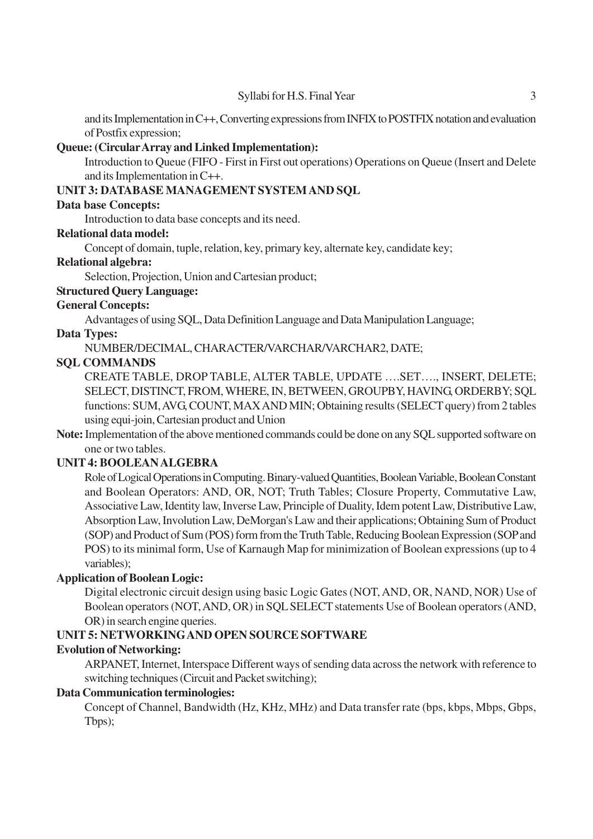and its Implementation in C++, Converting expressions from INFIX to POSTFIX notation and evaluation of Postfix expression;

#### **Queue: (Circular Array and Linked Implementation):**

Introduction to Queue (FIFO - First in First out operations) Operations on Queue (Insert and Delete and its Implementation in C++.

#### **UNIT 3: DATABASE MANAGEMENT SYSTEM AND SQL**

#### **Data base Concepts:**

Introduction to data base concepts and its need.

#### **Relational data model:**

Concept of domain, tuple, relation, key, primary key, alternate key, candidate key;

#### **Relational algebra:**

Selection, Projection, Union and Cartesian product;

#### **Structured Query Language:**

#### **General Concepts:**

Advantages of using SQL, Data Definition Language and Data Manipulation Language;

#### **Data Types:**

NUMBER/DECIMAL, CHARACTER/VARCHAR/VARCHAR2, DATE;

#### **SQL COMMANDS**

CREATE TABLE, DROP TABLE, ALTER TABLE, UPDATE ….SET…., INSERT, DELETE; SELECT, DISTINCT, FROM, WHERE, IN, BETWEEN, GROUPBY, HAVING, ORDERBY; SQL functions: SUM, AVG, COUNT, MAX AND MIN; Obtaining results (SELECT query) from 2 tables using equi-join, Cartesian product and Union

**Note:** Implementation of the above mentioned commands could be done on any SQL supported software on one or two tables.

#### **UNIT 4: BOOLEAN ALGEBRA**

Role of Logical Operations in Computing. Binary-valued Quantities, Boolean Variable, Boolean Constant and Boolean Operators: AND, OR, NOT; Truth Tables; Closure Property, Commutative Law, Associative Law, Identity law, Inverse Law, Principle of Duality, Idem potent Law, Distributive Law, Absorption Law, Involution Law, DeMorgan's Law and their applications; Obtaining Sum of Product (SOP) and Product of Sum (POS) form from the Truth Table, Reducing Boolean Expression (SOP and POS) to its minimal form, Use of Karnaugh Map for minimization of Boolean expressions (up to 4 variables);

#### **Application of Boolean Logic:**

Digital electronic circuit design using basic Logic Gates (NOT, AND, OR, NAND, NOR) Use of Boolean operators (NOT, AND, OR) in SQL SELECT statements Use of Boolean operators (AND, OR) in search engine queries.

### **UNIT 5: NETWORKING AND OPEN SOURCE SOFTWARE**

#### **Evolution of Networking:**

ARPANET, Internet, Interspace Different ways of sending data across the network with reference to switching techniques (Circuit and Packet switching);

#### **Data Communication terminologies:**

Concept of Channel, Bandwidth (Hz, KHz, MHz) and Data transfer rate (bps, kbps, Mbps, Gbps, Tbps);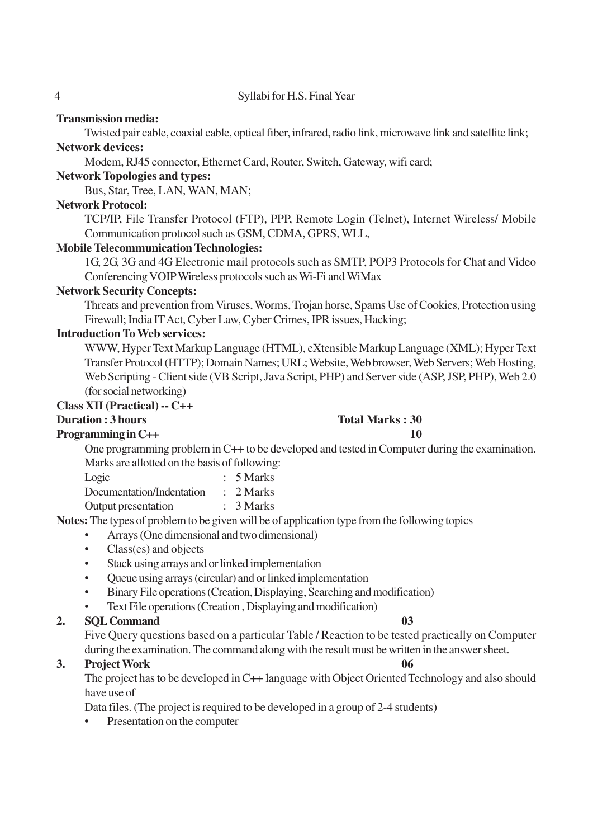4 Syllabi for H.S. Final Year

#### **Transmission media:**

Twisted pair cable, coaxial cable, optical fiber, infrared, radio link, microwave link and satellite link; **Network devices:**

Modem, RJ45 connector, Ethernet Card, Router, Switch, Gateway, wifi card;

#### **Network Topologies and types:**

Bus, Star, Tree, LAN, WAN, MAN;

#### **Network Protocol:**

TCP/IP, File Transfer Protocol (FTP), PPP, Remote Login (Telnet), Internet Wireless/ Mobile Communication protocol such as GSM, CDMA, GPRS, WLL,

#### **Mobile Telecommunication Technologies:**

1G, 2G, 3G and 4G Electronic mail protocols such as SMTP, POP3 Protocols for Chat and Video Conferencing VOIP Wireless protocols such as Wi-Fi and WiMax

#### **Network Security Concepts:**

Threats and prevention from Viruses, Worms, Trojan horse, Spams Use of Cookies, Protection using Firewall; India IT Act, Cyber Law, Cyber Crimes, IPR issues, Hacking;

#### **Introduction To Web services:**

WWW, Hyper Text Markup Language (HTML), eXtensible Markup Language (XML); Hyper Text Transfer Protocol (HTTP); Domain Names; URL; Website, Web browser, Web Servers; Web Hosting, Web Scripting - Client side (VB Script, Java Script, PHP) and Server side (ASP, JSP, PHP), Web 2.0 (for social networking)

#### **Class XII (Practical) -- C++**

# **Duration : 3 hours** Total Marks : 30

# **Programming in C++** 10

One programming problem in C++ to be developed and tested in Computer during the examination. Marks are allotted on the basis of following:

| Logic                     | $: 5$ Marks          |
|---------------------------|----------------------|
| Documentation/Indentation | $\therefore$ 2 Marks |
| Output presentation       | : 3 Marks            |

**Notes:** The types of problem to be given will be of application type from the following topics

- Arrays (One dimensional and two dimensional)
- Class(es) and objects
- Stack using arrays and or linked implementation
- Queue using arrays (circular) and or linked implementation
- Binary File operations (Creation, Displaying, Searching and modification)
- Text File operations (Creation , Displaying and modification)

# **2. SQL Command 03**

Five Query questions based on a particular Table / Reaction to be tested practically on Computer during the examination. The command along with the result must be written in the answer sheet.

# **3. Project Work 06**

The project has to be developed in C++ language with Object Oriented Technology and also should have use of

Data files. (The project is required to be developed in a group of 2-4 students)

Presentation on the computer